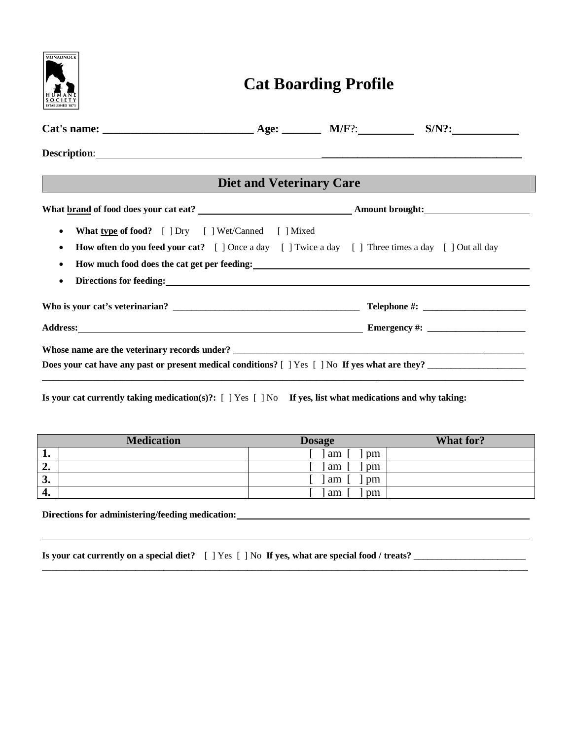| <b>MONADNOCK</b>                                                                                                                                                                                                                                                                                                                                                                                                                       | <b>Cat Boarding Profile</b>     |  |  |  |  |
|----------------------------------------------------------------------------------------------------------------------------------------------------------------------------------------------------------------------------------------------------------------------------------------------------------------------------------------------------------------------------------------------------------------------------------------|---------------------------------|--|--|--|--|
|                                                                                                                                                                                                                                                                                                                                                                                                                                        |                                 |  |  |  |  |
|                                                                                                                                                                                                                                                                                                                                                                                                                                        |                                 |  |  |  |  |
|                                                                                                                                                                                                                                                                                                                                                                                                                                        | <b>Diet and Veterinary Care</b> |  |  |  |  |
|                                                                                                                                                                                                                                                                                                                                                                                                                                        |                                 |  |  |  |  |
| <b>What type of food?</b> [ ] Dry [ ] Wet/Canned [ ] Mixed<br>$\bullet$<br><b>How often do you feed your cat?</b> [] Once a day [] Twice a day [] Three times a day [] Out all day<br>٠<br>Directions for feeding: the contract of the contract of the contract of the contract of the contract of the contract of the contract of the contract of the contract of the contract of the contract of the contract of the co<br>$\bullet$ |                                 |  |  |  |  |
|                                                                                                                                                                                                                                                                                                                                                                                                                                        |                                 |  |  |  |  |
|                                                                                                                                                                                                                                                                                                                                                                                                                                        |                                 |  |  |  |  |
| Does your cat have any past or present medical conditions? [ ] Yes [ ] No If yes what are they?                                                                                                                                                                                                                                                                                                                                        |                                 |  |  |  |  |

**Is your cat currently taking medication(s)?:** [ ] Yes [ ] No **If yes, list what medications and why taking:**

|                                          | <b>Medication</b> | <b>Dosage</b> | What for? |
|------------------------------------------|-------------------|---------------|-----------|
| л.                                       |                   | am<br>pm      |           |
| $\triangle$<br>∠.                        |                   | am<br>pm      |           |
| $\mathbf{r}$<br>$\boldsymbol{\mathsf v}$ |                   | am<br>pm      |           |
| 4.                                       |                   | am<br>pm      |           |

**\_\_\_\_\_\_\_\_\_\_\_\_\_\_\_\_\_\_\_\_\_\_\_\_\_\_\_\_\_\_\_\_\_\_\_\_\_\_\_\_\_\_\_\_\_\_\_\_\_\_\_\_\_\_\_\_\_\_\_\_\_\_\_\_\_\_\_\_\_\_\_\_\_\_\_\_\_\_\_\_\_\_\_\_\_\_\_\_\_\_\_\_\_\_\_\_\_\_\_\_\_\_\_\_**

**Directions for administering/feeding medication:** 

 $\overline{a}$ 

|  | Is your cat currently on a special diet? [ ] Yes [ ] No If yes, what are special food / treats? _ |  |
|--|---------------------------------------------------------------------------------------------------|--|
|--|---------------------------------------------------------------------------------------------------|--|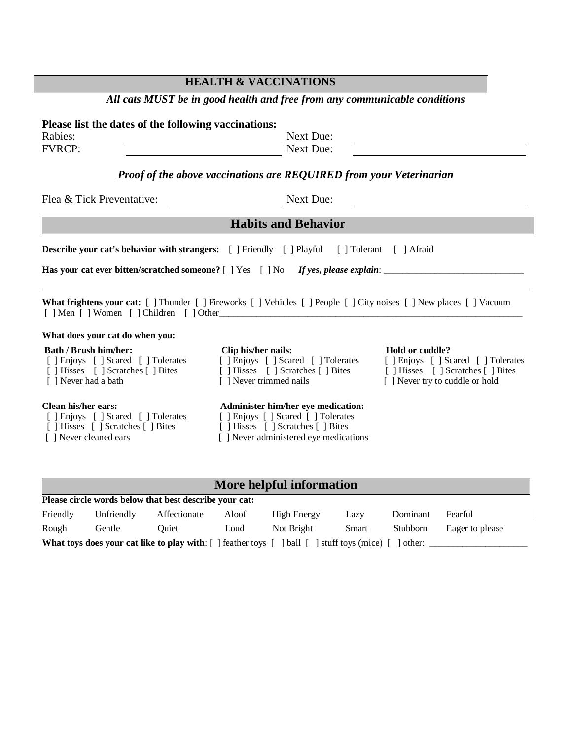| All cats MUST be in good health and free from any communicable conditions                                                                                                                                                                                                                                        |                                                |                                                    |  |  |
|------------------------------------------------------------------------------------------------------------------------------------------------------------------------------------------------------------------------------------------------------------------------------------------------------------------|------------------------------------------------|----------------------------------------------------|--|--|
| Please list the dates of the following vaccinations:<br>Rabies:<br>Next Due:<br><u> 1989 - Johann Barn, mars ann an t-Amhain Aonaich an t-Aonaich an t-Aonaich ann an t-Aonaich ann an t-Aonaich</u><br>Next Due:<br><b>FVRCP:</b><br><b>Proof of the above vaccinations are REQUIRED from your Veterinarian</b> |                                                |                                                    |  |  |
| Flea & Tick Preventative:<br>Next Due:<br><u> 1980 - John Stein, Amerikaansk politiker (</u>                                                                                                                                                                                                                     |                                                |                                                    |  |  |
| <b>Habits and Behavior</b>                                                                                                                                                                                                                                                                                       |                                                |                                                    |  |  |
| <b>Describe your cat's behavior with strangers:</b> [ ] Friendly [ ] Playful [ ] Tolerant [ ] Afraid                                                                                                                                                                                                             |                                                |                                                    |  |  |
| <b>What frightens your cat:</b> [] Thunder [] Fireworks [] Vehicles [] People [] City noises [] New places [] Vacuum                                                                                                                                                                                             |                                                |                                                    |  |  |
| What does your cat do when you:                                                                                                                                                                                                                                                                                  |                                                |                                                    |  |  |
| <b>Bath / Brush him/her:</b><br>[ ] Enjoys [ ] Scared [ ] Tolerates [ ] Enjoys [ ] Scared [ ] Tolerates [ ] Enjoys [ ] Scared [ ] Tolerates<br>[ ] Hisses [ ] Scratches [ ] Bites [ ] Hisses [ ] Scratches [ ] Bites [ ] Hisses [ ] Scratches [ ] Bites<br>[ ] Never had a bath                                  | Clip his/her nails:<br>[ ] Never trimmed nails | Hold or cuddle?<br>[ ] Never try to cuddle or hold |  |  |
| <b>Clean his/her ears:</b>                                                                                                                                                                                                                                                                                       | Administer him/her eye medication:             |                                                    |  |  |

[ ] Enjoys [ ] Scared [ ] Tolerates [ ] Enjoys [ ] Scared [ ] Tolerates

- [ ] Hisses [ ] Scratches [ ] Bites [ ] Hisses [ ] Scratches [ ] Bites
- [ ] Never cleaned ears [ ] Never administered eye medications
- 

## **More helpful information**

| Please circle words below that best describe your cat:                                                                                       |            |              |       |             |       |                 |                 |
|----------------------------------------------------------------------------------------------------------------------------------------------|------------|--------------|-------|-------------|-------|-----------------|-----------------|
| Friendly                                                                                                                                     | Unfriendly | Affectionate | Aloof | High Energy | Lazv  | Dominant        | Fearful         |
| Rough                                                                                                                                        | Gentle     | Ouiet.       | Loud  | Not Bright  | Smart | <b>Stubborn</b> | Eager to please |
| <b>What toys does your cat like to play with:</b> [ ] feather toys [<br>$\lceil$ ball $\lceil$ $\rceil$ stuff toys (mice) $\lceil$<br>other: |            |              |       |             |       |                 |                 |

## **HEALTH & VACCINATIONS**